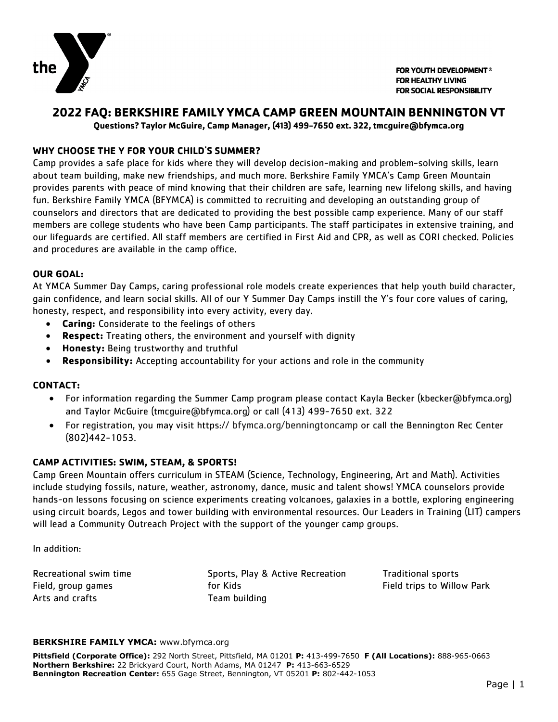

FOR YOUTH DEVELOPMENT® **FOR HEALTHY LIVING FOR SOCIAL RESPONSIBILITY** 

## **2022 FAQ: BERKSHIRE FAMILY YMCA CAMP GREEN MOUNTAIN BENNINGTON VT**

**Questions? Taylor McGuire, Camp Manager, (413) 499-7650 ext. 322, tmcguire@bfymca.org**

## **WHY CHOOSE THE Y FOR YOUR CHILD'S SUMMER?**

Camp provides a safe place for kids where they will develop decision-making and problem-solving skills, learn about team building, make new friendships, and much more. Berkshire Family YMCA's Camp Green Mountain provides parents with peace of mind knowing that their children are safe, learning new lifelong skills, and having fun. Berkshire Family YMCA (BFYMCA) is committed to recruiting and developing an outstanding group of counselors and directors that are dedicated to providing the best possible camp experience. Many of our staff members are college students who have been Camp participants. The staff participates in extensive training, and our lifeguards are certified. All staff members are certified in First Aid and CPR, as well as CORI checked. Policies and procedures are available in the camp office.

#### **OUR GOAL:**

At YMCA Summer Day Camps, caring professional role models create experiences that help youth build character, gain confidence, and learn social skills. All of our Y Summer Day Camps instill the Y's four core values of caring, honesty, respect, and responsibility into every activity, every day.

- **Caring:** Considerate to the feelings of others
- **Respect:** Treating others, the environment and yourself with dignity
- **Honesty:** Being trustworthy and truthful
- **Responsibility:** Accepting accountability for your actions and role in the community

#### **CONTACT:**

- For information regarding the Summer Camp program please contact Kayla Becker (kbecker@bfymca.org) and Taylor McGuire (tmcguire@bfymca.org) or call (413) 499-7650 ext. 322
- For registration, you may visit https:// bfymca.org/benningtoncamp or call the Bennington Rec Center (802)442-1053.

#### **CAMP ACTIVITIES: SWIM, STEAM, & SPORTS!**

Camp Green Mountain offers curriculum in STEAM (Science, Technology, Engineering, Art and Math). Activities include studying fossils, nature, weather, astronomy, dance, music and talent shows! YMCA counselors provide hands-on lessons focusing on science experiments creating volcanoes, galaxies in a bottle, exploring engineering using circuit boards, Legos and tower building with environmental resources. Our Leaders in Training (LIT) campers will lead a Community Outreach Project with the support of the younger camp groups.

#### In addition:

Recreational swim time Field, group games Arts and crafts

Sports, Play & Active Recreation for Kids Team building

Traditional sports Field trips to Willow Park

#### **BERKSHIRE FAMILY YMCA:** www.bfymca.org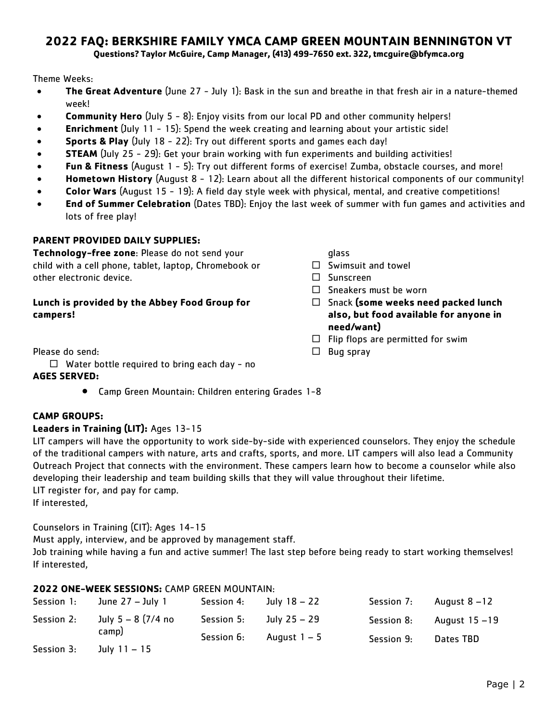# **2022 FAQ: BERKSHIRE FAMILY YMCA CAMP GREEN MOUNTAIN BENNINGTON VT**

**Questions? Taylor McGuire, Camp Manager, (413) 499-7650 ext. 322, tmcguire@bfymca.org**

Theme Weeks:

- **The Great Adventure** (June 27 July 1): Bask in the sun and breathe in that fresh air in a nature-themed week!
- **Community Hero** (July 5 8): Enjoy visits from our local PD and other community helpers!
- **Enrichment** (July 11 15): Spend the week creating and learning about your artistic side!
- **Sports & Play** (July 18 22): Try out different sports and games each day!
- **STEAM** (July 25 29): Get your brain working with fun experiments and building activities!
- **Fun & Fitness** (August 1 5): Try out different forms of exercise! Zumba, obstacle courses, and more!
- **Hometown History** (August 8 12): Learn about all the different historical components of our community!
- **Color Wars** (August 15 19): A field day style week with physical, mental, and creative competitions!
- **End of Summer Celebration** (Dates TBD): Enjoy the last week of summer with fun games and activities and lots of free play!

## **PARENT PROVIDED DAILY SUPPLIES:**

**Technology-free zone**: Please do not send your child with a cell phone, tablet, laptop, Chromebook or other electronic device.

## **Lunch is provided by the Abbey Food Group for campers!**

Please do send:

 $\Box$  Water bottle required to bring each day - no

#### **AGES SERVED:**

• Camp Green Mountain: Children entering Grades 1-8

## glass

- $\Box$  Swimsuit and towel
- Sunscreen
- $\Box$  Sneakers must be worn
- Snack **(some weeks need packed lunch also, but food available for anyone in need/want)**
- $\Box$  Flip flops are permitted for swim
- $\Box$  Bug spray

## **CAMP GROUPS:**

#### **Leaders in Training (LIT):** Ages 13-15

LIT campers will have the opportunity to work side-by-side with experienced counselors. They enjoy the schedule of the traditional campers with nature, arts and crafts, sports, and more. LIT campers will also lead a Community Outreach Project that connects with the environment. These campers learn how to become a counselor while also developing their leadership and team building skills that they will value throughout their lifetime. LIT register for, and pay for camp.

If interested,

Counselors in Training (CIT): Ages 14-15

Must apply, interview, and be approved by management staff.

Job training while having a fun and active summer! The last step before being ready to start working themselves! If interested,

|            | <b>2022 ONE-WEEK SESSIONS:</b> CAMP GREEN MOUNTAIN: |            |              |            |                 |
|------------|-----------------------------------------------------|------------|--------------|------------|-----------------|
| Session 1: | June $27 -$ July 1                                  | Session 4: | July 18 – 22 | Session 7: | August $8 - 12$ |
| Session 2: | July $5 - 8$ (7/4 no<br>camp)                       | Session 5: | July 25 – 29 | Session 8: | August 15 -19   |
|            |                                                     | Session 6: | August $1-5$ | Session 9: | Dates TBD       |
| Session 3: | July $11 - 15$                                      |            |              |            |                 |

## **2022 ONE-WEEK SESSIONS:** CAMP GREEN MOUNTAIN: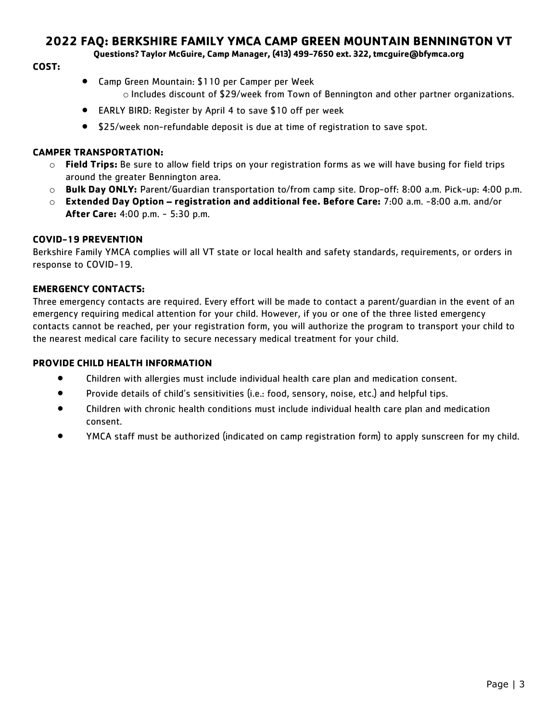## **2022 FAQ: BERKSHIRE FAMILY YMCA CAMP GREEN MOUNTAIN BENNINGTON VT**

**Questions? Taylor McGuire, Camp Manager, (413) 499-7650 ext. 322, tmcguire@bfymca.org**

## **COST:**

- Camp Green Mountain: \$110 per Camper per Week
	- o Includes discount of \$29/week from Town of Bennington and other partner organizations.
- EARLY BIRD: Register by April 4 to save \$10 off per week
- \$25/week non-refundable deposit is due at time of registration to save spot.

## **CAMPER TRANSPORTATION:**

- o **Field Trips:** Be sure to allow field trips on your registration forms as we will have busing for field trips around the greater Bennington area.
- o **Bulk Day ONLY:** Parent/Guardian transportation to/from camp site. Drop-off: 8:00 a.m. Pick-up: 4:00 p.m.
- o **Extended Day Option – registration and additional fee. Before Care:** 7:00 a.m. -8:00 a.m. and/or **After Care:** 4:00 p.m. - 5:30 p.m.

## **COVID-19 PREVENTION**

Berkshire Family YMCA complies will all VT state or local health and safety standards, requirements, or orders in response to COVID-19.

## **EMERGENCY CONTACTS:**

Three emergency contacts are required. Every effort will be made to contact a parent/guardian in the event of an emergency requiring medical attention for your child. However, if you or one of the three listed emergency contacts cannot be reached, per your registration form, you will authorize the program to transport your child to the nearest medical care facility to secure necessary medical treatment for your child.

### **PROVIDE CHILD HEALTH INFORMATION**

- Children with allergies must include individual health care plan and medication consent.
- Provide details of child's sensitivities (i.e.: food, sensory, noise, etc.) and helpful tips.
- Children with chronic health conditions must include individual health care plan and medication consent.
- YMCA staff must be authorized (indicated on camp registration form) to apply sunscreen for my child.